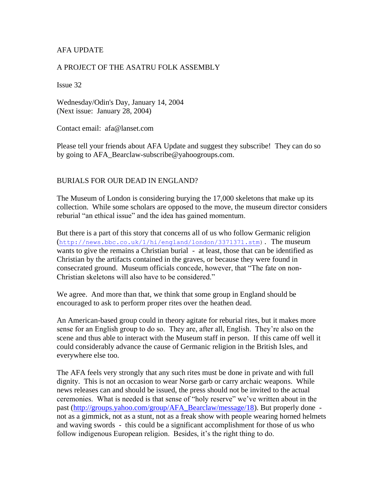## AFA UPDATE

### A PROJECT OF THE ASATRU FOLK ASSEMBLY

Issue 32

Wednesday/Odin's Day, January 14, 2004 (Next issue: January 28, 2004)

Contact email: afa@lanset.com

Please tell your friends about AFA Update and suggest they subscribe! They can do so by going to AFA\_Bearclaw-subscribe@yahoogroups.com.

#### BURIALS FOR OUR DEAD IN ENGLAND?

The Museum of London is considering burying the 17,000 skeletons that make up its collection. While some scholars are opposed to the move, the museum director considers reburial "an ethical issue" and the idea has gained momentum.

But there is a part of this story that concerns all of us who follow Germanic religion ([http://news.bbc.co.uk/1/hi/england/london/3371371.stm\)](http://news.bbc.co.uk/1/hi/england/london/3371371.stm). The museum wants to give the remains a Christian burial - at least, those that can be identified as Christian by the artifacts contained in the graves, or because they were found in consecrated ground. Museum officials concede, however, that "The fate on non-Christian skeletons will also have to be considered."

We agree. And more than that, we think that some group in England should be encouraged to ask to perform proper rites over the heathen dead.

An American-based group could in theory agitate for reburial rites, but it makes more sense for an English group to do so. They are, after all, English. They're also on the scene and thus able to interact with the Museum staff in person. If this came off well it could considerably advance the cause of Germanic religion in the British Isles, and everywhere else too.

The AFA feels very strongly that any such rites must be done in private and with full dignity. This is not an occasion to wear Norse garb or carry archaic weapons. While news releases can and should be issued, the press should not be invited to the actual ceremonies. What is needed is that sense of "holy reserve" we've written about in the past [\(http://groups.yahoo.com/group/AFA\\_Bearclaw/message/18\)](http://groups.yahoo.com/group/AFA_Bearclaw/message/18). But properly done not as a gimmick, not as a stunt, not as a freak show with people wearing horned helmets and waving swords - this could be a significant accomplishment for those of us who follow indigenous European religion. Besides, it's the right thing to do.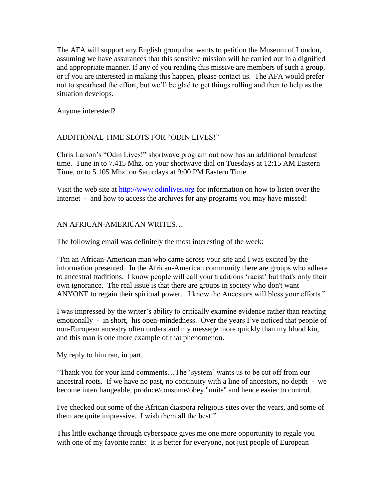The AFA will support any English group that wants to petition the Museum of London, assuming we have assurances that this sensitive mission will be carried out in a dignified and appropriate manner. If any of you reading this missive are members of such a group, or if you are interested in making this happen, please contact us. The AFA would prefer not to spearhead the effort, but we'll be glad to get things rolling and then to help as the situation develops.

Anyone interested?

# ADDITIONAL TIME SLOTS FOR "ODIN LIVES!"

Chris Larson's "Odin Lives!" shortwave program out now has an additional broadcast time. Tune in to 7.415 Mhz. on your shortwave dial on Tuesdays at 12:15 AM Eastern Time, or to 5.105 Mhz. on Saturdays at 9:00 PM Eastern Time.

Visit the web site at [http://www.odinlives.org](http://www.odinlives.org/) for information on how to listen over the Internet - and how to access the archives for any programs you may have missed!

## AN AFRICAN-AMERICAN WRITES…

The following email was definitely the most interesting of the week:

"I'm an African-American man who came across your site and I was excited by the information presented. In the African-American community there are groups who adhere to ancestral traditions. I know people will call your traditions 'racist' but that's only their own ignorance. The real issue is that there are groups in society who don't want ANYONE to regain their spiritual power. I know the Ancestors will bless your efforts."

I was impressed by the writer's ability to critically examine evidence rather than reacting emotionally - in short, his open-mindedness. Over the years I've noticed that people of non-European ancestry often understand my message more quickly than my blood kin, and this man is one more example of that phenomenon.

My reply to him ran, in part,

"Thank you for your kind comments…The 'system' wants us to be cut off from our ancestral roots. If we have no past, no continuity with a line of ancestors, no depth - we become interchangeable, produce/consume/obey "units" and hence easier to control.

I've checked out some of the African diaspora religious sites over the years, and some of them are quite impressive. I wish them all the best!"

This little exchange through cyberspace gives me one more opportunity to regale you with one of my favorite rants: It is better for everyone, not just people of European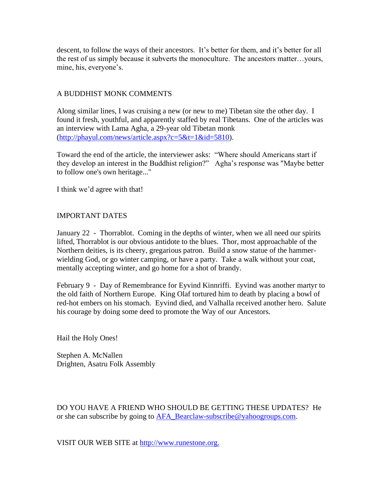descent, to follow the ways of their ancestors. It's better for them, and it's better for all the rest of us simply because it subverts the monoculture. The ancestors matter…yours, mine, his, everyone's.

## A BUDDHIST MONK COMMENTS

Along similar lines, I was cruising a new (or new to me) Tibetan site the other day. I found it fresh, youthful, and apparently staffed by real Tibetans. One of the articles was an interview with Lama Agha, a 29-year old Tibetan monk [\(http://phayul.com/news/article.aspx?c=5&t=1&id=5810\)](http://phayul.com/news/article.aspx?c=5&t=1&id=5810).

Toward the end of the article, the interviewer asks: "Where should Americans start if they develop an interest in the Buddhist religion?" Agha's response was "Maybe better to follow one's own heritage..."

I think we'd agree with that!

### IMPORTANT DATES

January 22 - Thorrablot. Coming in the depths of winter, when we all need our spirits lifted, Thorrablot is our obvious antidote to the blues. Thor, most approachable of the Northern deities, is its cheery, gregarious patron. Build a snow statue of the hammerwielding God, or go winter camping, or have a party. Take a walk without your coat, mentally accepting winter, and go home for a shot of brandy.

February 9 - Day of Remembrance for Eyvind Kinnriffi. Eyvind was another martyr to the old faith of Northern Europe. King Olaf tortured him to death by placing a bowl of red-hot embers on his stomach. Eyvind died, and Valhalla received another hero. Salute his courage by doing some deed to promote the Way of our Ancestors.

Hail the Holy Ones!

Stephen A. McNallen Drighten, Asatru Folk Assembly

DO YOU HAVE A FRIEND WHO SHOULD BE GETTING THESE UPDATES? He or she can subscribe by going to [AFA\\_Bearclaw-subscribe@yahoogroups.com.](mailto:AFA_Bearclaw-subscribe@yahoogroups.com)

VISIT OUR WEB SITE at [http://www.runestone.org.](http://www.runestone.org./)